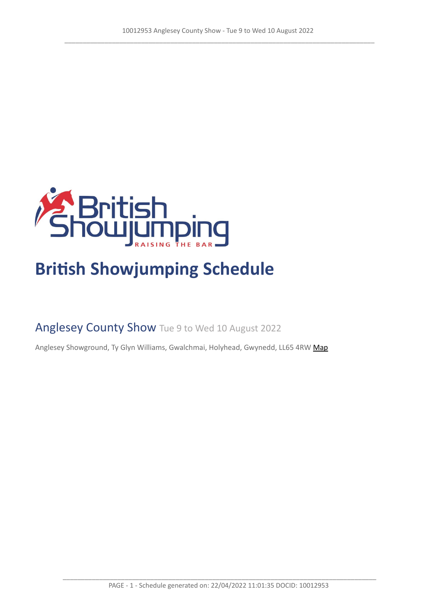

# **British Showjumping Schedule**

Anglesey County Show Tue 9 to Wed 10 August 2022

Anglesey Showground, Ty Glyn Williams, Gwalchmai, Holyhead, Gwynedd, LL65 4RW [Map](https://www.google.com/maps/@53.2537460,-4.3878600,16z)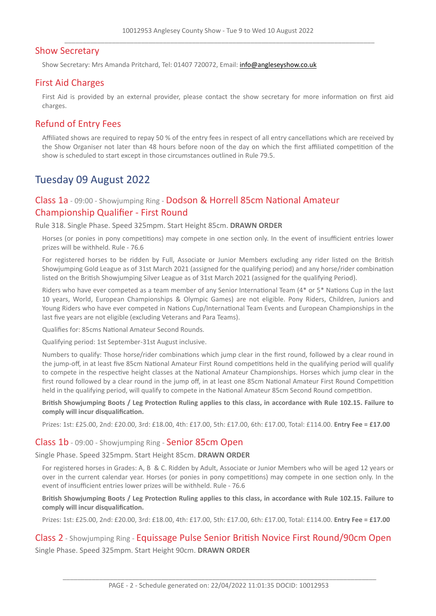### Show Secretary

Show Secretary: Mrs Amanda Pritchard, Tel: 01407 720072, Email: <info@angleseyshow.co.uk>

### First Aid Charges

First Aid is provided by an external provider, please contact the show secretary for more information on first aid charges.

# Refund of Entry Fees

Affiliated shows are required to repay 50 % of the entry fees in respect of all entry cancellations which are received by the Show Organiser not later than 48 hours before noon of the day on which the first affiliated competition of the show is scheduled to start except in those circumstances outlined in Rule 79.5.

# Tuesday 09 August 2022

# Class 1a - 09:00 - Showjumping Ring - Dodson & Horrell 85cm National Amateur Championship Qualifier - First Round

Rule 318. Single Phase. Speed 325mpm. Start Height 85cm. **DRAWN ORDER**

Horses (or ponies in pony competitions) may compete in one section only. In the event of insufficient entries lower prizes will be withheld. Rule - 76.6

For registered horses to be ridden by Full, Associate or Junior Members excluding any rider listed on the British Showjumping Gold League as of 31st March 2021 (assigned for the qualifying period) and any horse/rider combination listed on the British Showjumping Silver League as of 31st March 2021 (assigned for the qualifying Period).

Riders who have ever competed as a team member of any Senior International Team (4\* or 5\* Nations Cup in the last 10 years, World, European Championships & Olympic Games) are not eligible. Pony Riders, Children, Juniors and Young Riders who have ever competed in Nations Cup/International Team Events and European Championships in the last five years are not eligible (excluding Veterans and Para Teams).

Qualifies for: 85cms National Amateur Second Rounds.

Qualifying period: 1st September-31st August inclusive.

Numbers to qualify: Those horse/rider combinations which jump clear in the first round, followed by a clear round in the jump-off, in at least five 85cm National Amateur First Round competitions held in the qualifying period will qualify to compete in the respective height classes at the National Amateur Championships. Horses which jump clear in the first round followed by a clear round in the jump off, in at least one 85cm National Amateur First Round Competition held in the qualifying period, will qualify to compete in the National Amateur 85cm Second Round competition.

British Showjumping Boots / Leg Protection Ruling applies to this class, in accordance with Rule 102.15. Failure to **comply will incur disqualification.**

Prizes: 1st: £25.00, 2nd: £20.00, 3rd: £18.00, 4th: £17.00, 5th: £17.00, 6th: £17.00, Total: £114.00. **Entry Fee = £17.00**

### Class 1b - 09:00 - Showjumping Ring - Senior 85cm Open

Single Phase. Speed 325mpm. Start Height 85cm. **DRAWN ORDER**

For registered horses in Grades: A, B & C. Ridden by Adult, Associate or Junior Members who will be aged 12 years or over in the current calendar year. Horses (or ponies in pony competitions) may compete in one section only. In the event of insufficient entries lower prizes will be withheld. Rule - 76.6

British Showjumping Boots / Leg Protection Ruling applies to this class, in accordance with Rule 102.15. Failure to **comply will incur disqualification.**

Prizes: 1st: £25.00, 2nd: £20.00, 3rd: £18.00, 4th: £17.00, 5th: £17.00, 6th: £17.00, Total: £114.00. **Entry Fee = £17.00**

### Class 2 - Showjumping Ring - Equissage Pulse Senior British Novice First Round/90cm Open Single Phase. Speed 325mpm. Start Height 90cm. **DRAWN ORDER**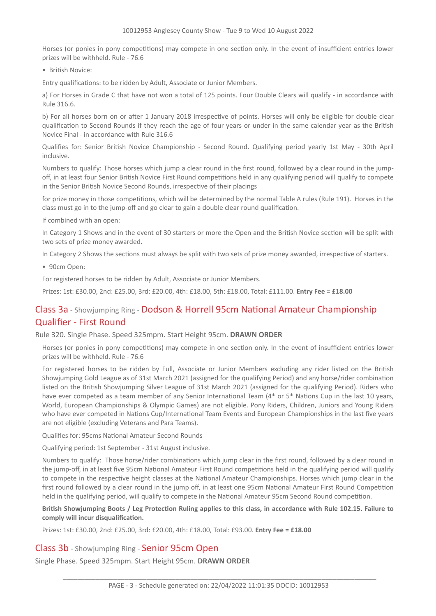Horses (or ponies in pony competitions) may compete in one section only. In the event of insufficient entries lower prizes will be withheld. Rule - 76.6

• British Novice:

Entry qualifications: to be ridden by Adult, Associate or Junior Members.

a) For Horses in Grade C that have not won a total of 125 points. Four Double Clears will qualify - in accordance with Rule 316.6.

b) For all horses born on or after 1 January 2018 irrespective of points. Horses will only be eligible for double clear qualification to Second Rounds if they reach the age of four years or under in the same calendar year as the British Novice Final - in accordance with Rule 316.6

Qualifies for: Senior British Novice Championship - Second Round. Qualifying period yearly 1st May - 30th April inclusive.

Numbers to qualify: Those horses which jump a clear round in the first round, followed by a clear round in the jumpoff, in at least four Senior British Novice First Round competitions held in any qualifying period will qualify to compete in the Senior British Novice Second Rounds, irrespective of their placings

for prize money in those competitions, which will be determined by the normal Table A rules (Rule 191). Horses in the class must go in to the jump-off and go clear to gain a double clear round qualification.

If combined with an open:

In Category 1 Shows and in the event of 30 starters or more the Open and the British Novice section will be split with two sets of prize money awarded.

In Category 2 Shows the sections must always be split with two sets of prize money awarded, irrespective of starters.

• 90cm Open:

For registered horses to be ridden by Adult, Associate or Junior Members.

Prizes: 1st: £30.00, 2nd: £25.00, 3rd: £20.00, 4th: £18.00, 5th: £18.00, Total: £111.00. **Entry Fee = £18.00**

# Class 3a - Showjumping Ring - Dodson & Horrell 95cm National Amateur Championship Qualifier - First Round

Rule 320. Single Phase. Speed 325mpm. Start Height 95cm. **DRAWN ORDER**

Horses (or ponies in pony competitions) may compete in one section only. In the event of insufficient entries lower prizes will be withheld. Rule - 76.6

For registered horses to be ridden by Full, Associate or Junior Members excluding any rider listed on the British Showjumping Gold League as of 31st March 2021 (assigned for the qualifying Period) and any horse/rider combination listed on the British Showjumping Silver League of 31st March 2021 (assigned for the qualifying Period). Riders who have ever competed as a team member of any Senior International Team (4<sup>\*</sup> or 5<sup>\*</sup> Nations Cup in the last 10 years, World, European Championships & Olympic Games) are not eligible. Pony Riders, Children, Juniors and Young Riders who have ever competed in Nations Cup/International Team Events and European Championships in the last five years are not eligible (excluding Veterans and Para Teams).

Qualifies for: 95cms National Amateur Second Rounds

Qualifying period: 1st September - 31st August inclusive.

Numbers to qualify: Those horse/rider combinations which jump clear in the first round, followed by a clear round in the jump-off, in at least five 95cm National Amateur First Round competitions held in the qualifying period will qualify to compete in the respective height classes at the National Amateur Championships. Horses which jump clear in the first round followed by a clear round in the jump off, in at least one 95cm National Amateur First Round Competition held in the qualifying period, will qualify to compete in the National Amateur 95cm Second Round competition.

British Showjumping Boots / Leg Protection Ruling applies to this class, in accordance with Rule 102.15. Failure to **comply will incur disqualification.**

Prizes: 1st: £30.00, 2nd: £25.00, 3rd: £20.00, 4th: £18.00, Total: £93.00. **Entry Fee = £18.00**

## Class 3b - Showjumping Ring - Senior 95cm Open

Single Phase. Speed 325mpm. Start Height 95cm. **DRAWN ORDER**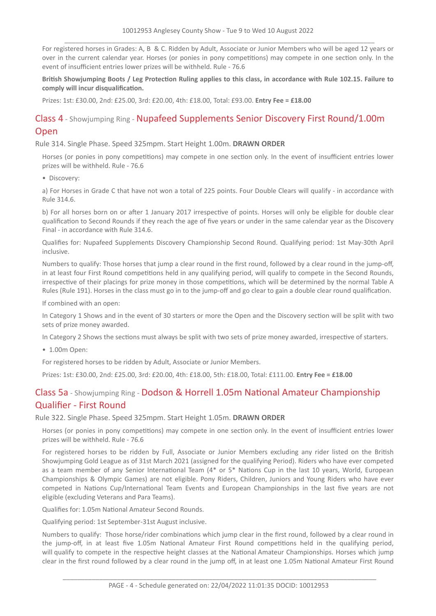For registered horses in Grades: A, B & C. Ridden by Adult, Associate or Junior Members who will be aged 12 years or over in the current calendar year. Horses (or ponies in pony competitions) may compete in one section only. In the event of insufficient entries lower prizes will be withheld. Rule - 76.6

British Showjumping Boots / Leg Protection Ruling applies to this class, in accordance with Rule 102.15. Failure to **comply will incur disqualification.**

Prizes: 1st: £30.00, 2nd: £25.00, 3rd: £20.00, 4th: £18.00, Total: £93.00. **Entry Fee = £18.00**

# Class 4 - Showjumping Ring - Nupafeed Supplements Senior Discovery First Round/1.00m Open

### Rule 314. Single Phase. Speed 325mpm. Start Height 1.00m. **DRAWN ORDER**

Horses (or ponies in pony competitions) may compete in one section only. In the event of insufficient entries lower prizes will be withheld. Rule - 76.6

• Discovery:

a) For Horses in Grade C that have not won a total of 225 points. Four Double Clears will qualify - in accordance with Rule 314.6.

b) For all horses born on or after 1 January 2017 irrespective of points. Horses will only be eligible for double clear qualification to Second Rounds if they reach the age of five years or under in the same calendar year as the Discovery Final - in accordance with Rule 314.6.

Qualifies for: Nupafeed Supplements Discovery Championship Second Round. Qualifying period: 1st May-30th April inclusive.

Numbers to qualify: Those horses that jump a clear round in the first round, followed by a clear round in the jump-off, in at least four First Round competitions held in any qualifying period, will qualify to compete in the Second Rounds, irrespective of their placings for prize money in those competitions, which will be determined by the normal Table A Rules (Rule 191). Horses in the class must go in to the jump-off and go clear to gain a double clear round qualification.

If combined with an open:

In Category 1 Shows and in the event of 30 starters or more the Open and the Discovery section will be split with two sets of prize money awarded.

In Category 2 Shows the sections must always be split with two sets of prize money awarded, irrespective of starters.

• 1.00m Open:

For registered horses to be ridden by Adult, Associate or Junior Members.

Prizes: 1st: £30.00, 2nd: £25.00, 3rd: £20.00, 4th: £18.00, 5th: £18.00, Total: £111.00. **Entry Fee = £18.00**

# Class 5a - Showjumping Ring - Dodson & Horrell 1.05m National Amateur Championship Qualifier - First Round

#### Rule 322. Single Phase. Speed 325mpm. Start Height 1.05m. **DRAWN ORDER**

Horses (or ponies in pony competitions) may compete in one section only. In the event of insufficient entries lower prizes will be withheld. Rule - 76.6

For registered horses to be ridden by Full, Associate or Junior Members excluding any rider listed on the British Showjumping Gold League as of 31st March 2021 (assigned for the qualifying Period). Riders who have ever competed as a team member of any Senior International Team (4\* or 5\* Nations Cup in the last 10 years, World, European Championships & Olympic Games) are not eligible. Pony Riders, Children, Juniors and Young Riders who have ever competed in Nations Cup/International Team Events and European Championships in the last five years are not eligible (excluding Veterans and Para Teams).

Qualifies for: 1.05m National Amateur Second Rounds.

Qualifying period: 1st September-31st August inclusive.

Numbers to qualify: Those horse/rider combinations which jump clear in the first round, followed by a clear round in the jump-off, in at least five 1.05m National Amateur First Round competitions held in the qualifying period, will qualify to compete in the respective height classes at the National Amateur Championships. Horses which jump clear in the first round followed by a clear round in the jump off, in at least one 1.05m National Amateur First Round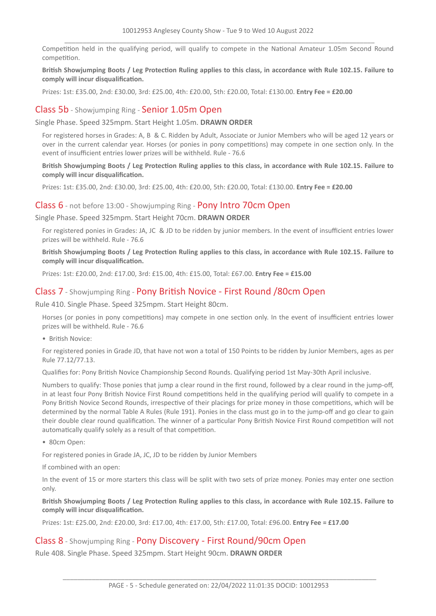Competition held in the qualifying period, will qualify to compete in the National Amateur 1.05m Second Round competition.

### British Showjumping Boots / Leg Protection Ruling applies to this class, in accordance with Rule 102.15. Failure to **comply will incur disqualification.**

Prizes: 1st: £35.00, 2nd: £30.00, 3rd: £25.00, 4th: £20.00, 5th: £20.00, Total: £130.00. **Entry Fee = £20.00**

### Class 5b - Showjumping Ring - Senior 1.05m Open

Single Phase. Speed 325mpm. Start Height 1.05m. **DRAWN ORDER**

For registered horses in Grades: A, B & C. Ridden by Adult, Associate or Junior Members who will be aged 12 years or over in the current calendar year. Horses (or ponies in pony competitions) may compete in one section only. In the event of insufficient entries lower prizes will be withheld. Rule - 76.6

British Showiumping Boots / Leg Protection Ruling applies to this class, in accordance with Rule 102.15. Failure to **comply will incur disqualification.**

Prizes: 1st: £35.00, 2nd: £30.00, 3rd: £25.00, 4th: £20.00, 5th: £20.00, Total: £130.00. **Entry Fee = £20.00**

### Class 6 - not before 13:00 - Showjumping Ring - Pony Intro 70cm Open

Single Phase. Speed 325mpm. Start Height 70cm. **DRAWN ORDER**

For registered ponies in Grades: JA, JC & JD to be ridden by junior members. In the event of insufficient entries lower prizes will be withheld. Rule - 76.6

British Showjumping Boots / Leg Protection Ruling applies to this class, in accordance with Rule 102.15. Failure to **comply will incur disqualification.**

Prizes: 1st: £20.00, 2nd: £17.00, 3rd: £15.00, 4th: £15.00, Total: £67.00. **Entry Fee = £15.00**

### Class 7 - Showjumping Ring - Pony British Novice - First Round /80cm Open

Rule 410. Single Phase. Speed 325mpm. Start Height 80cm.

Horses (or ponies in pony competitions) may compete in one section only. In the event of insufficient entries lower prizes will be withheld. Rule - 76.6

• British Novice:

For registered ponies in Grade JD, that have not won a total of 150 Points to be ridden by Junior Members, ages as per Rule 77.12/77.13.

Qualifies for: Pony British Novice Championship Second Rounds. Qualifying period 1st May-30th April inclusive.

Numbers to qualify: Those ponies that jump a clear round in the first round, followed by a clear round in the jump-off, in at least four Pony British Novice First Round competitions held in the qualifying period will qualify to compete in a Pony British Novice Second Rounds, irrespective of their placings for prize money in those competitions, which will be determined by the normal Table A Rules (Rule 191). Ponies in the class must go in to the jump-off and go clear to gain their double clear round qualification. The winner of a particular Pony British Novice First Round competition will not automatically qualify solely as a result of that competition.

• 80cm Open:

For registered ponies in Grade JA, JC, JD to be ridden by Junior Members

If combined with an open:

In the event of 15 or more starters this class will be split with two sets of prize money. Ponies may enter one section only.

British Showjumping Boots / Leg Protection Ruling applies to this class, in accordance with Rule 102.15. Failure to **comply will incur disqualification.**

Prizes: 1st: £25.00, 2nd: £20.00, 3rd: £17.00, 4th: £17.00, 5th: £17.00, Total: £96.00. **Entry Fee = £17.00**

### Class 8 - Showjumping Ring - Pony Discovery - First Round/90cm Open

Rule 408. Single Phase. Speed 325mpm. Start Height 90cm. **DRAWN ORDER**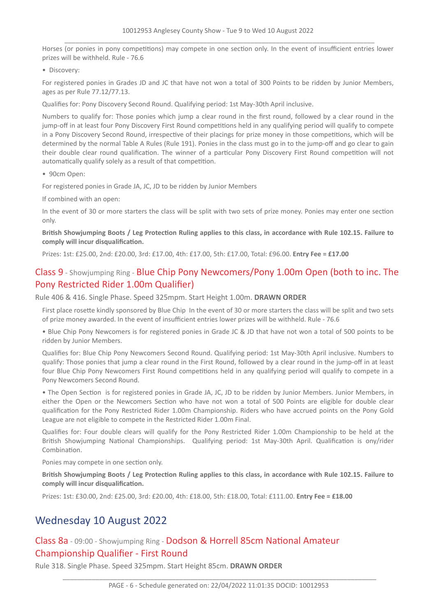Horses (or ponies in pony competitions) may compete in one section only. In the event of insufficient entries lower prizes will be withheld. Rule - 76.6

• Discovery:

For registered ponies in Grades JD and JC that have not won a total of 300 Points to be ridden by Junior Members, ages as per Rule 77.12/77.13.

Qualifies for: Pony Discovery Second Round. Qualifying period: 1st May-30th April inclusive.

Numbers to qualify for: Those ponies which jump a clear round in the first round, followed by a clear round in the jump-off in at least four Pony Discovery First Round competitions held in any qualifying period will qualify to compete in a Pony Discovery Second Round, irrespective of their placings for prize money in those competitions, which will be determined by the normal Table A Rules (Rule 191). Ponies in the class must go in to the jump-off and go clear to gain their double clear round qualification. The winner of a particular Pony Discovery First Round competition will not automatically qualify solely as a result of that competition.

• 90cm Open:

For registered ponies in Grade JA, JC, JD to be ridden by Junior Members

If combined with an open:

In the event of 30 or more starters the class will be split with two sets of prize money. Ponies may enter one section only.

British Showjumping Boots / Leg Protection Ruling applies to this class, in accordance with Rule 102.15. Failure to **comply will incur disqualification.**

Prizes: 1st: £25.00, 2nd: £20.00, 3rd: £17.00, 4th: £17.00, 5th: £17.00, Total: £96.00. **Entry Fee = £17.00**

# Class 9 - Showjumping Ring - Blue Chip Pony Newcomers/Pony 1.00m Open (both to inc. The Pony Restricted Rider 1.00m Qualifier)

Rule 406 & 416. Single Phase. Speed 325mpm. Start Height 1.00m. **DRAWN ORDER**

First place rosette kindly sponsored by Blue Chip In the event of 30 or more starters the class will be split and two sets of prize money awarded. In the event of insufficient entries lower prizes will be withheld. Rule - 76.6

• Blue Chip Pony Newcomers is for registered ponies in Grade JC & JD that have not won a total of 500 points to be ridden by Junior Members.

Qualifies for: Blue Chip Pony Newcomers Second Round. Qualifying period: 1st May-30th April inclusive. Numbers to qualify: Those ponies that jump a clear round in the First Round, followed by a clear round in the jump-off in at least four Blue Chip Pony Newcomers First Round competitions held in any qualifying period will qualify to compete in a Pony Newcomers Second Round.

• The Open Section is for registered ponies in Grade JA, JC, JD to be ridden by Junior Members. Junior Members, in either the Open or the Newcomers Section who have not won a total of 500 Points are eligible for double clear qualification for the Pony Restricted Rider 1.00m Championship. Riders who have accrued points on the Pony Gold League are not eligible to compete in the Restricted Rider 1.00m Final.

Qualifies for: Four double clears will qualify for the Pony Restricted Rider 1.00m Championship to be held at the British Showjumping National Championships. Qualifying period: 1st May-30th April. Qualification is ony/rider Combination.

Ponies may compete in one section only.

British Showjumping Boots / Leg Protection Ruling applies to this class, in accordance with Rule 102.15. Failure to **comply will incur disqualification.**

Prizes: 1st: £30.00, 2nd: £25.00, 3rd: £20.00, 4th: £18.00, 5th: £18.00, Total: £111.00. **Entry Fee = £18.00**

# Wednesday 10 August 2022

# Class 8a - 09:00 - Showjumping Ring - Dodson & Horrell 85cm National Amateur Championship Qualifier - First Round

Rule 318. Single Phase. Speed 325mpm. Start Height 85cm. **DRAWN ORDER**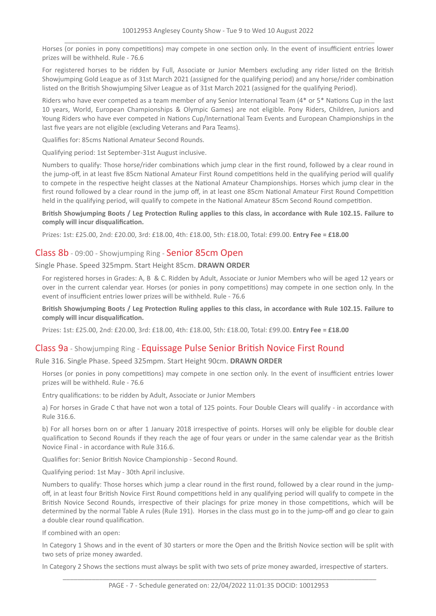Horses (or ponies in pony competitions) may compete in one section only. In the event of insufficient entries lower prizes will be withheld. Rule - 76.6

For registered horses to be ridden by Full, Associate or Junior Members excluding any rider listed on the British Showjumping Gold League as of 31st March 2021 (assigned for the qualifying period) and any horse/rider combination listed on the British Showjumping Silver League as of 31st March 2021 (assigned for the qualifying Period).

Riders who have ever competed as a team member of any Senior International Team (4\* or 5\* Nations Cup in the last 10 years, World, European Championships & Olympic Games) are not eligible. Pony Riders, Children, Juniors and Young Riders who have ever competed in Nations Cup/International Team Events and European Championships in the last five years are not eligible (excluding Veterans and Para Teams).

Qualifies for: 85cms National Amateur Second Rounds.

Qualifying period: 1st September-31st August inclusive.

Numbers to qualify: Those horse/rider combinations which jump clear in the first round, followed by a clear round in the jump-off, in at least five 85cm National Amateur First Round competitions held in the qualifying period will qualify to compete in the respective height classes at the National Amateur Championships. Horses which jump clear in the first round followed by a clear round in the jump off, in at least one 85cm National Amateur First Round Competition held in the qualifying period, will qualify to compete in the National Amateur 85cm Second Round competition.

British Showjumping Boots / Leg Protection Ruling applies to this class, in accordance with Rule 102.15. Failure to **comply will incur disqualification.**

Prizes: 1st: £25.00, 2nd: £20.00, 3rd: £18.00, 4th: £18.00, 5th: £18.00, Total: £99.00. **Entry Fee = £18.00**

### Class 8b - 09:00 - Showjumping Ring - Senior 85cm Open

Single Phase. Speed 325mpm. Start Height 85cm. **DRAWN ORDER**

For registered horses in Grades: A, B & C. Ridden by Adult, Associate or Junior Members who will be aged 12 years or over in the current calendar year. Horses (or ponies in pony competitions) may compete in one section only. In the event of insufficient entries lower prizes will be withheld. Rule - 76.6

British Showjumping Boots / Leg Protection Ruling applies to this class, in accordance with Rule 102.15. Failure to **comply will incur disqualification.**

Prizes: 1st: £25.00, 2nd: £20.00, 3rd: £18.00, 4th: £18.00, 5th: £18.00, Total: £99.00. **Entry Fee = £18.00**

## Class 9a - Showjumping Ring - Equissage Pulse Senior British Novice First Round

### Rule 316. Single Phase. Speed 325mpm. Start Height 90cm. **DRAWN ORDER**

Horses (or ponies in pony competitions) may compete in one section only. In the event of insufficient entries lower prizes will be withheld. Rule - 76.6

Entry qualifications: to be ridden by Adult, Associate or Junior Members

a) For horses in Grade C that have not won a total of 125 points. Four Double Clears will qualify - in accordance with Rule 316.6.

b) For all horses born on or after 1 January 2018 irrespective of points. Horses will only be eligible for double clear qualification to Second Rounds if they reach the age of four years or under in the same calendar year as the British Novice Final - in accordance with Rule 316.6.

Qualifies for: Senior British Novice Championship - Second Round.

Qualifying period: 1st May - 30th April inclusive.

Numbers to qualify: Those horses which jump a clear round in the first round, followed by a clear round in the jumpoff, in at least four British Novice First Round competitions held in any qualifying period will qualify to compete in the British Novice Second Rounds, irrespective of their placings for prize money in those competitions, which will be determined by the normal Table A rules (Rule 191). Horses in the class must go in to the jump-off and go clear to gain a double clear round qualification.

If combined with an open:

In Category 1 Shows and in the event of 30 starters or more the Open and the British Novice section will be split with two sets of prize money awarded.

In Category 2 Shows the sections must always be split with two sets of prize money awarded, irrespective of starters.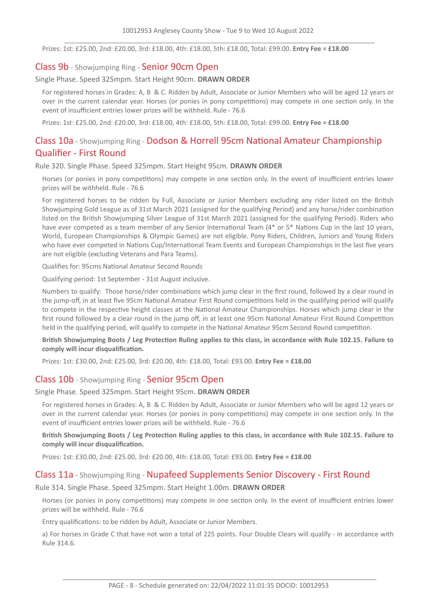Prizes: 1st: £25.00, 2nd: £20.00, 3rd: £18.00, 4th: £18.00, 5th: £18.00, Total: £99.00. **Entry Fee = £18.00**

### Class 9b - Showjumping Ring - Senior 90cm Open

Single Phase. Speed 325mpm. Start Height 90cm. **DRAWN ORDER**

For registered horses in Grades: A, B & C. Ridden by Adult, Associate or Junior Members who will be aged 12 years or over in the current calendar year. Horses (or ponies in pony competitions) may compete in one section only. In the event of insufficient entries lower prizes will be withheld. Rule - 76.6

Prizes: 1st: £25.00, 2nd: £20.00, 3rd: £18.00, 4th: £18.00, 5th: £18.00, Total: £99.00. **Entry Fee = £18.00**

# Class 10a - Showjumping Ring - Dodson & Horrell 95cm National Amateur Championship Qualifier - First Round

Rule 320. Single Phase. Speed 325mpm. Start Height 95cm. **DRAWN ORDER**

Horses (or ponies in pony competitions) may compete in one section only. In the event of insufficient entries lower prizes will be withheld. Rule - 76.6

For registered horses to be ridden by Full, Associate or Junior Members excluding any rider listed on the British Showjumping Gold League as of 31st March 2021 (assigned for the qualifying Period) and any horse/rider combination listed on the British Showjumping Silver League of 31st March 2021 (assigned for the qualifying Period). Riders who have ever competed as a team member of any Senior International Team (4\* or 5\* Nations Cup in the last 10 years, World, European Championships & Olympic Games) are not eligible. Pony Riders, Children, Juniors and Young Riders who have ever competed in Nations Cup/International Team Events and European Championships in the last five years are not eligible (excluding Veterans and Para Teams).

Qualifies for: 95cms National Amateur Second Rounds

Qualifying period: 1st September - 31st August inclusive.

Numbers to qualify: Those horse/rider combinations which jump clear in the first round, followed by a clear round in the jump-off, in at least five 95cm National Amateur First Round competitions held in the qualifying period will qualify to compete in the respective height classes at the National Amateur Championships. Horses which jump clear in the first round followed by a clear round in the jump off, in at least one 95cm National Amateur First Round Competition held in the qualifying period, will qualify to compete in the National Amateur 95cm Second Round competition.

British Showjumping Boots / Leg Protection Ruling applies to this class, in accordance with Rule 102.15. Failure to **comply will incur disqualification.**

Prizes: 1st: £30.00, 2nd: £25.00, 3rd: £20.00, 4th: £18.00, Total: £93.00. **Entry Fee = £18.00**

### Class 10b - Showjumping Ring - Senior 95cm Open

### Single Phase. Speed 325mpm. Start Height 95cm. **DRAWN ORDER**

For registered horses in Grades: A, B & C. Ridden by Adult, Associate or Junior Members who will be aged 12 years or over in the current calendar year. Horses (or ponies in pony competitions) may compete in one section only. In the event of insufficient entries lower prizes will be withheld. Rule - 76.6

British Showjumping Boots / Leg Protection Ruling applies to this class, in accordance with Rule 102.15. Failure to **comply will incur disqualification.**

Prizes: 1st: £30.00, 2nd: £25.00, 3rd: £20.00, 4th: £18.00, Total: £93.00. **Entry Fee = £18.00**

### Class 11a - Showjumping Ring - Nupafeed Supplements Senior Discovery - First Round

Rule 314. Single Phase. Speed 325mpm. Start Height 1.00m. **DRAWN ORDER**

Horses (or ponies in pony competitions) may compete in one section only. In the event of insufficient entries lower prizes will be withheld. Rule - 76.6

Entry qualifications: to be ridden by Adult, Associate or Junior Members.

a) For horses in Grade C that have not won a total of 225 points. Four Double Clears will qualify - in accordance with Rule 314.6.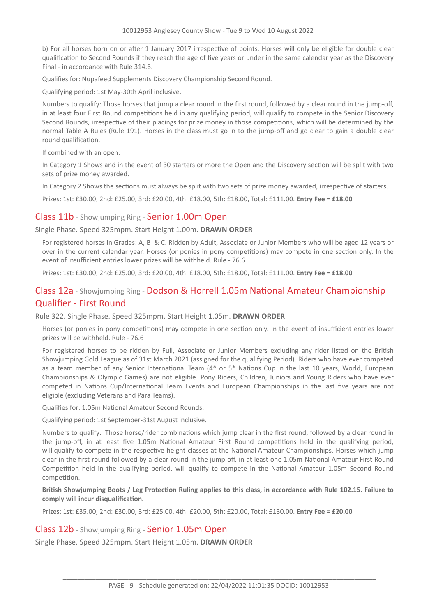b) For all horses born on or after 1 January 2017 irrespective of points. Horses will only be eligible for double clear qualification to Second Rounds if they reach the age of five years or under in the same calendar year as the Discovery Final - in accordance with Rule 314.6.

Qualifies for: Nupafeed Supplements Discovery Championship Second Round.

Qualifying period: 1st May-30th April inclusive.

Numbers to qualify: Those horses that jump a clear round in the first round, followed by a clear round in the jump-off, in at least four First Round competitions held in any qualifying period, will qualify to compete in the Senior Discovery Second Rounds, irrespective of their placings for prize money in those competitions, which will be determined by the normal Table A Rules (Rule 191). Horses in the class must go in to the jump-off and go clear to gain a double clear round qualification.

If combined with an open:

In Category 1 Shows and in the event of 30 starters or more the Open and the Discovery section will be split with two sets of prize money awarded.

In Category 2 Shows the sections must always be split with two sets of prize money awarded, irrespective of starters.

Prizes: 1st: £30.00, 2nd: £25.00, 3rd: £20.00, 4th: £18.00, 5th: £18.00, Total: £111.00. **Entry Fee = £18.00**

### Class 11b - Showjumping Ring - Senior 1.00m Open

Single Phase. Speed 325mpm. Start Height 1.00m. **DRAWN ORDER**

For registered horses in Grades: A, B & C. Ridden by Adult, Associate or Junior Members who will be aged 12 years or over in the current calendar year. Horses (or ponies in pony competitions) may compete in one section only. In the event of insufficient entries lower prizes will be withheld. Rule - 76.6

Prizes: 1st: £30.00, 2nd: £25.00, 3rd: £20.00, 4th: £18.00, 5th: £18.00, Total: £111.00. **Entry Fee = £18.00**

# Class 12a - Showjumping Ring - Dodson & Horrell 1.05m National Amateur Championship Qualifier - First Round

Rule 322. Single Phase. Speed 325mpm. Start Height 1.05m. **DRAWN ORDER**

Horses (or ponies in pony competitions) may compete in one section only. In the event of insufficient entries lower prizes will be withheld. Rule - 76.6

For registered horses to be ridden by Full, Associate or Junior Members excluding any rider listed on the British Showjumping Gold League as of 31st March 2021 (assigned for the qualifying Period). Riders who have ever competed as a team member of any Senior International Team (4\* or 5\* Nations Cup in the last 10 years, World, European Championships & Olympic Games) are not eligible. Pony Riders, Children, Juniors and Young Riders who have ever competed in Nations Cup/International Team Events and European Championships in the last five years are not eligible (excluding Veterans and Para Teams).

Qualifies for: 1.05m National Amateur Second Rounds.

Qualifying period: 1st September-31st August inclusive.

Numbers to qualify: Those horse/rider combinations which jump clear in the first round, followed by a clear round in the jump-off, in at least five 1.05m National Amateur First Round competitions held in the qualifying period, will qualify to compete in the respective height classes at the National Amateur Championships. Horses which jump clear in the first round followed by a clear round in the jump off, in at least one 1.05m National Amateur First Round Competition held in the qualifying period, will qualify to compete in the National Amateur 1.05m Second Round competition.

British Showjumping Boots / Leg Protection Ruling applies to this class, in accordance with Rule 102.15. Failure to **comply will incur disqualification.**

Prizes: 1st: £35.00, 2nd: £30.00, 3rd: £25.00, 4th: £20.00, 5th: £20.00, Total: £130.00. **Entry Fee = £20.00**

### Class 12b - Showjumping Ring - Senior 1.05m Open

Single Phase. Speed 325mpm. Start Height 1.05m. **DRAWN ORDER**